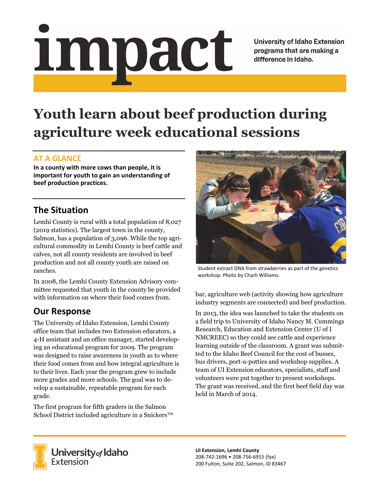# Impact

**University of Idaho Extension** programs that are making a difference in Idaho.

# **Youth learn about beef production during agriculture week educational sessions**

#### **AT A GLANCE**

**In a county with more cows than people, it is important for youth to gain an understanding of beef production practices.**

## **The Situation**

Lemhi County is rural with a total population of 8,027 (2019 statistics). The largest town in the county, Salmon, has a population of 3,096. While the top agricultural commodity in Lemhi County is beef cattle and calves, not all county residents are involved in beef production and not all county youth are raised on ranches.

In 2008, the Lemhi County Extension Advisory committee requested that youth in the county be provided with information on where their food comes from.

# **Our Response**

The University of Idaho Extension, Lemhi County office team that includes two Extension educators, a 4-H assistant and an office manager, started developing an educational program for 2009. The program was designed to raise awareness in youth as to where their food comes from and how integral agriculture is to their lives. Each year the program grew to include more grades and more schools. The goal was to develop a sustainable, repeatable program for each grade.

The first program for fifth graders in the Salmon School District included agriculture in a Snickers™



Student extract DNA from strawberries as part of the genetics workshop. Photo by Charli Williams.

bar, agriculture web (activity showing how agriculture industry segments are connected) and beef production.

In 2013, the idea was launched to take the students on a field trip to University of Idaho Nancy M. Cummings Research, Education and Extension Center (U of I NMCREEC) so they could see cattle and experience learning outside of the classroom. A grant was submitted to the Idaho Beef Council for the cost of busses, bus drivers, port-a-potties and workshop supplies. A team of UI Extension educators, specialists, staff and volunteers were put together to present workshops. The grant was received, and the first beef field day was held in March of 2014.



University of Idaho<br>Extension